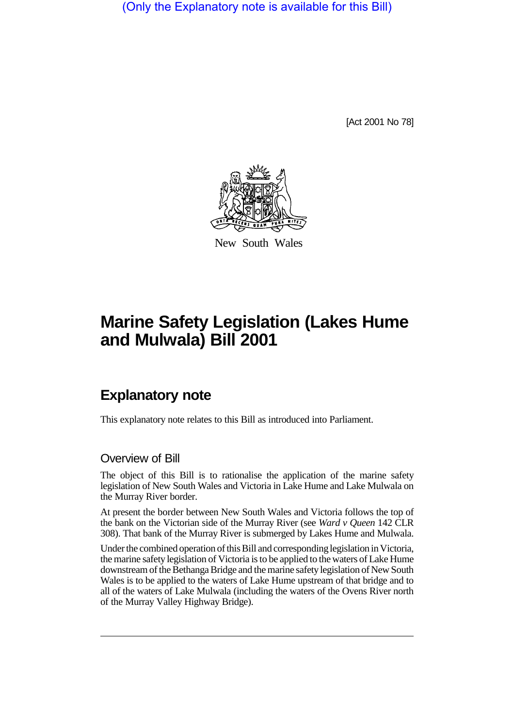(Only the Explanatory note is available for this Bill)

[Act 2001 No 78]



New South Wales

# **Marine Safety Legislation (Lakes Hume and Mulwala) Bill 2001**

# **Explanatory note**

This explanatory note relates to this Bill as introduced into Parliament.

#### Overview of Bill

The object of this Bill is to rationalise the application of the marine safety legislation of New South Wales and Victoria in Lake Hume and Lake Mulwala on the Murray River border.

At present the border between New South Wales and Victoria follows the top of the bank on the Victorian side of the Murray River (see *Ward v Queen* 142 CLR 308). That bank of the Murray River is submerged by Lakes Hume and Mulwala.

Under the combined operation of this Bill and corresponding legislation in Victoria, the marine safety legislation of Victoria is to be applied to the waters of Lake Hume downstream of the Bethanga Bridge and the marine safety legislation of New South Wales is to be applied to the waters of Lake Hume upstream of that bridge and to all of the waters of Lake Mulwala (including the waters of the Ovens River north of the Murray Valley Highway Bridge).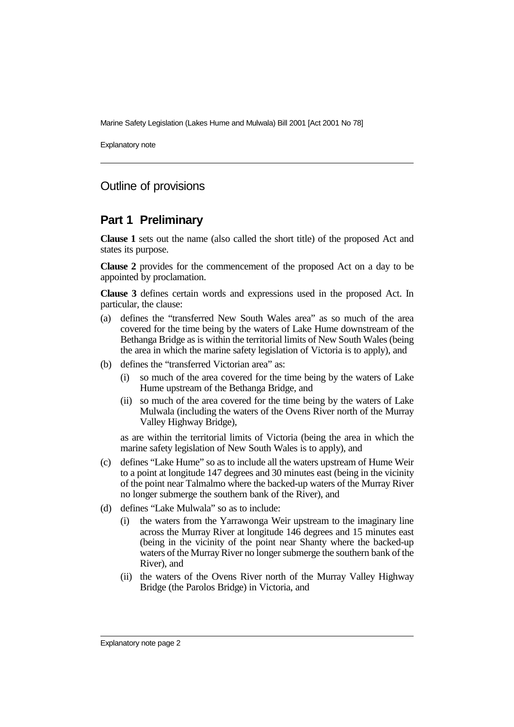Marine Safety Legislation (Lakes Hume and Mulwala) Bill 2001 [Act 2001 No 78]

Explanatory note

# Outline of provisions

#### **Part 1 Preliminary**

**Clause 1** sets out the name (also called the short title) of the proposed Act and states its purpose.

**Clause 2** provides for the commencement of the proposed Act on a day to be appointed by proclamation.

**Clause 3** defines certain words and expressions used in the proposed Act. In particular, the clause:

- (a) defines the "transferred New South Wales area" as so much of the area covered for the time being by the waters of Lake Hume downstream of the Bethanga Bridge as is within the territorial limits of New South Wales (being the area in which the marine safety legislation of Victoria is to apply), and
- (b) defines the "transferred Victorian area" as:
	- so much of the area covered for the time being by the waters of Lake Hume upstream of the Bethanga Bridge, and
	- (ii) so much of the area covered for the time being by the waters of Lake Mulwala (including the waters of the Ovens River north of the Murray Valley Highway Bridge),

as are within the territorial limits of Victoria (being the area in which the marine safety legislation of New South Wales is to apply), and

- (c) defines "Lake Hume" so as to include all the waters upstream of Hume Weir to a point at longitude 147 degrees and 30 minutes east (being in the vicinity of the point near Talmalmo where the backed-up waters of the Murray River no longer submerge the southern bank of the River), and
- (d) defines "Lake Mulwala" so as to include:
	- (i) the waters from the Yarrawonga Weir upstream to the imaginary line across the Murray River at longitude 146 degrees and 15 minutes east (being in the vicinity of the point near Shanty where the backed-up waters of the Murray River no longer submerge the southern bank of the River), and
	- (ii) the waters of the Ovens River north of the Murray Valley Highway Bridge (the Parolos Bridge) in Victoria, and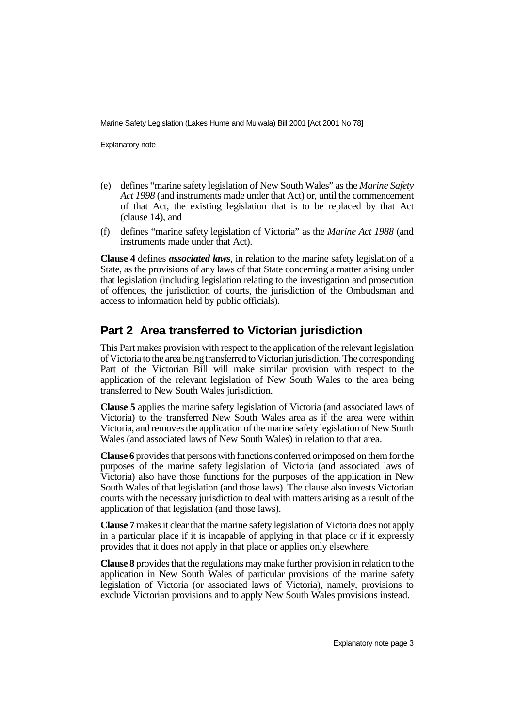Marine Safety Legislation (Lakes Hume and Mulwala) Bill 2001 [Act 2001 No 78]

Explanatory note

- (e) defines "marine safety legislation of New South Wales" as the *Marine Safety Act 1998* (and instruments made under that Act) or, until the commencement of that Act, the existing legislation that is to be replaced by that Act (clause 14), and
- (f) defines "marine safety legislation of Victoria" as the *Marine Act 1988* (and instruments made under that Act).

**Clause 4** defines *associated laws*, in relation to the marine safety legislation of a State, as the provisions of any laws of that State concerning a matter arising under that legislation (including legislation relating to the investigation and prosecution of offences, the jurisdiction of courts, the jurisdiction of the Ombudsman and access to information held by public officials).

# **Part 2 Area transferred to Victorian jurisdiction**

This Part makes provision with respect to the application of the relevant legislation of Victoria to the area being transferred to Victorian jurisdiction. The corresponding Part of the Victorian Bill will make similar provision with respect to the application of the relevant legislation of New South Wales to the area being transferred to New South Wales jurisdiction.

**Clause 5** applies the marine safety legislation of Victoria (and associated laws of Victoria) to the transferred New South Wales area as if the area were within Victoria, and removes the application of the marine safety legislation of New South Wales (and associated laws of New South Wales) in relation to that area.

**Clause 6** provides that persons with functions conferred or imposed on them for the purposes of the marine safety legislation of Victoria (and associated laws of Victoria) also have those functions for the purposes of the application in New South Wales of that legislation (and those laws). The clause also invests Victorian courts with the necessary jurisdiction to deal with matters arising as a result of the application of that legislation (and those laws).

**Clause 7** makes it clear that the marine safety legislation of Victoria does not apply in a particular place if it is incapable of applying in that place or if it expressly provides that it does not apply in that place or applies only elsewhere.

**Clause 8** provides that the regulations may make further provision in relation to the application in New South Wales of particular provisions of the marine safety legislation of Victoria (or associated laws of Victoria), namely, provisions to exclude Victorian provisions and to apply New South Wales provisions instead.